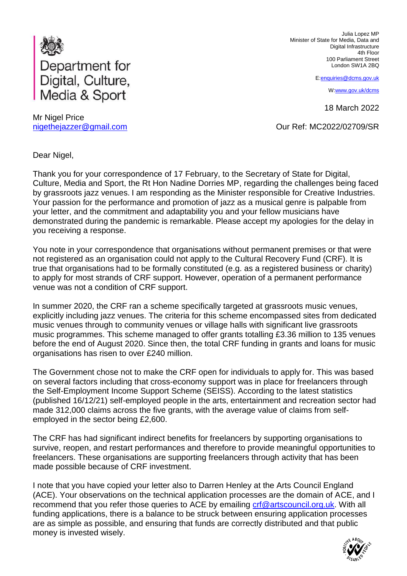

Mr Nigel Price nigethejazzer@gmail.com

Julia Lopez MP Minister of State for Media, Data and Digital Infrastructure 4th Floor 100 Parliament Street London SW1A 2BQ

E[:enquiries@dcms.gov.uk](mailto:enquiries@dcms.gov.uk)

[W:www.gov.uk/dcms](http://www.gov.uk/dcms)

18 March 2022

Our Ref: MC2022/02709/SR

Dear Nigel,

Thank you for your correspondence of 17 February, to the Secretary of State for Digital, Culture, Media and Sport, the Rt Hon Nadine Dorries MP, regarding the challenges being faced by grassroots jazz venues. I am responding as the Minister responsible for Creative Industries. Your passion for the performance and promotion of jazz as a musical genre is palpable from your letter, and the commitment and adaptability you and your fellow musicians have demonstrated during the pandemic is remarkable. Please accept my apologies for the delay in you receiving a response.

You note in your correspondence that organisations without permanent premises or that were not registered as an organisation could not apply to the Cultural Recovery Fund (CRF). It is true that organisations had to be formally constituted (e.g. as a registered business or charity) to apply for most strands of CRF support. However, operation of a permanent performance venue was not a condition of CRF support.

In summer 2020, the CRF ran a scheme specifically targeted at grassroots music venues, explicitly including jazz venues. The criteria for this scheme encompassed sites from dedicated music venues through to community venues or village halls with significant live grassroots music programmes. This scheme managed to offer grants totalling £3.36 million to 135 venues before the end of August 2020. Since then, the total CRF funding in grants and loans for music organisations has risen to over £240 million.

The Government chose not to make the CRF open for individuals to apply for. This was based on several factors including that cross-economy support was in place for freelancers through the Self-Employment Income Support Scheme (SEISS). According to the latest statistics (published 16/12/21) self-employed people in the arts, entertainment and recreation sector had made 312,000 claims across the five grants, with the average value of claims from selfemployed in the sector being £2,600.

The CRF has had significant indirect benefits for freelancers by supporting organisations to survive, reopen, and restart performances and therefore to provide meaningful opportunities to freelancers. These organisations are supporting freelancers through activity that has been made possible because of CRF investment.

I note that you have copied your letter also to Darren Henley at the Arts Council England (ACE). Your observations on the technical application processes are the domain of ACE, and I recommend that you refer those queries to ACE by emailing  $\text{crf}@\text{artscountil.org.uk}$ . With all funding applications, there is a balance to be struck between ensuring application processes are as simple as possible, and ensuring that funds are correctly distributed and that public money is invested wisely.